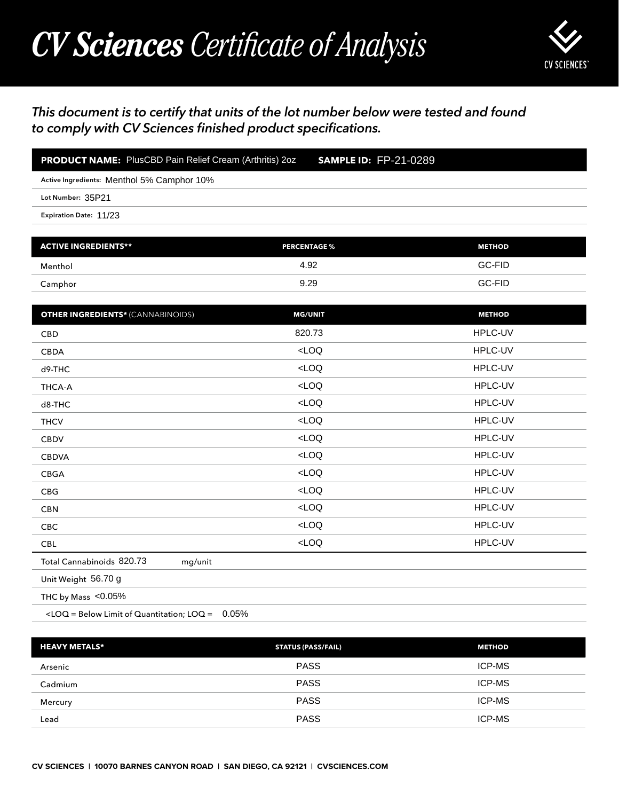## *CV Sciences Certificate of Analysis*



## *This document is to certify that units of the lot number below were tested and found to comply with CV Sciences finished product specifications.*

| <b>PRODUCT NAME:</b> PlusCBD Pain Relief Cream (Arthritis) 2oz | <b>SAMPLE ID: FP-21-0289</b> |
|----------------------------------------------------------------|------------------------------|
| Active Ingredients: Menthol 5% Camphor 10%                     |                              |
| Lot Number: 35P21                                              |                              |
| <b>Expiration Date: 11/23</b>                                  |                              |
|                                                                |                              |

| <b>ACTIVE INGREDIENTS**</b> | <b>PERCENTAGE %</b> | <b>METHOD</b> |
|-----------------------------|---------------------|---------------|
| Menthol                     | 4.92                | GC-FID        |
| Camphor                     | 9.29                | GC-FID        |

| <b>PRODUCT NAME:</b> PlusCBD Pain Relief Cream (Arthritis) 2oz                                 | <b>SAMPLE ID: FP-21-0289</b> |               |
|------------------------------------------------------------------------------------------------|------------------------------|---------------|
| Active Ingredients: Menthol 5% Camphor 10%                                                     |                              |               |
| Lot Number: 35P21                                                                              |                              |               |
| Expiration Date: 11/23                                                                         |                              |               |
| <b>ACTIVE INGREDIENTS**</b>                                                                    | <b>PERCENTAGE %</b>          | <b>METHOD</b> |
|                                                                                                |                              |               |
| Menthol                                                                                        | 4.92                         | GC-FID        |
| Camphor                                                                                        | 9.29                         | GC-FID        |
| <b>OTHER INGREDIENTS*</b> (CANNABINOIDS)                                                       | <b>MG/UNIT</b>               | <b>METHOD</b> |
| CBD                                                                                            | 820.73                       | HPLC-UV       |
| <b>CBDA</b>                                                                                    | LOO                          | HPLC-UV       |
| d9-THC                                                                                         | $<$ LOQ                      | HPLC-UV       |
| <b>THCA-A</b>                                                                                  | LOO                          | HPLC-UV       |
| d8-THC                                                                                         | $<$ LOQ                      | HPLC-UV       |
| <b>THCV</b>                                                                                    | LOO                          | HPLC-UV       |
| <b>CBDV</b>                                                                                    | LOO                          | HPLC-UV       |
| <b>CBDVA</b>                                                                                   | LOO                          | HPLC-UV       |
| CBGA                                                                                           | $<$ LOQ                      | HPLC-UV       |
| <b>CBG</b>                                                                                     | LOO                          | HPLC-UV       |
| <b>CBN</b>                                                                                     | $<$ LOQ                      | HPLC-UV       |
| CBC                                                                                            | $<$ LOQ                      | HPLC-UV       |
| <b>CBL</b>                                                                                     | $<$ LOQ                      | HPLC-UV       |
| Total Cannabinoids 820.73<br>mg/unit                                                           |                              |               |
| Unit Weight 56.70 g                                                                            |                              |               |
| THC by Mass <0.05%                                                                             |                              |               |
| <loq =="" below="" limit="" loq="0.05%&lt;/td" of="" quantitation;=""><td></td><td></td></loq> |                              |               |
| <b>HEAVY METALS*</b>                                                                           | <b>STATUS (PASS/FAIL)</b>    | <b>METHOD</b> |
| Arsenic                                                                                        | <b>PASS</b>                  | ICP-MS        |
| Cadmium                                                                                        | <b>PASS</b>                  | ICP-MS        |
| Mercury                                                                                        | <b>PASS</b>                  | ICP-MS        |

| <b>HEAVY METALS*</b> | <b>STATUS (PASS/FAIL)</b> | <b>METHOD</b> |
|----------------------|---------------------------|---------------|
| Arsenic              | <b>PASS</b>               | <b>ICP-MS</b> |
| Cadmium              | <b>PASS</b>               | <b>ICP-MS</b> |
| Mercury              | <b>PASS</b>               | ICP-MS        |
| Lead                 | <b>PASS</b>               | <b>ICP-MS</b> |